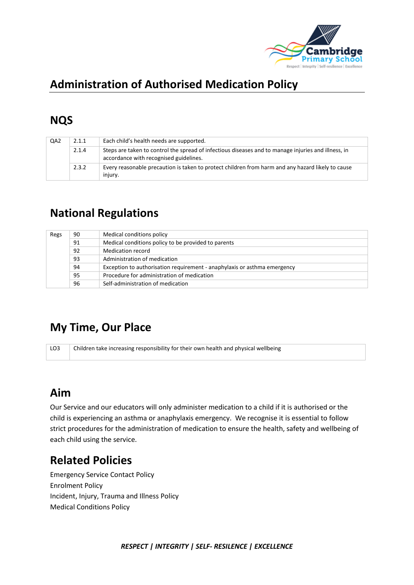

# **Administration of Authorised Medication Policy**

## **NQS**

| QA <sub>2</sub> | 2.1.1 | Each child's health needs are supported.                                                                                                      |
|-----------------|-------|-----------------------------------------------------------------------------------------------------------------------------------------------|
|                 | 2.1.4 | Steps are taken to control the spread of infectious diseases and to manage injuries and illness, in<br>accordance with recognised guidelines. |
|                 | 2.3.2 | Every reasonable precaution is taken to protect children from harm and any hazard likely to cause<br>injury.                                  |

## **National Regulations**

| Regs | 90 | Medical conditions policy                                                |
|------|----|--------------------------------------------------------------------------|
|      | 91 | Medical conditions policy to be provided to parents                      |
|      | 92 | Medication record                                                        |
|      | 93 | Administration of medication                                             |
|      | 94 | Exception to authorisation requirement - anaphylaxis or asthma emergency |
|      | 95 | Procedure for administration of medication                               |
|      | 96 | Self-administration of medication                                        |

## **My Time, Our Place**

LO3 Children take increasing responsibility for their own health and physical wellbeing

## **Aim**

Our Service and our educators will only administer medication to a child if it is authorised or the child is experiencing an asthma or anaphylaxis emergency. We recognise it is essential to follow strict procedures for the administration of medication to ensure the health, safety and wellbeing of each child using the service.

## **Related Policies**

Emergency Service Contact Policy Enrolment Policy Incident, Injury, Trauma and Illness Policy Medical Conditions Policy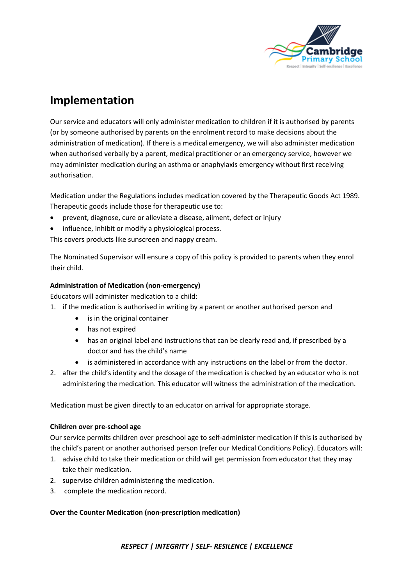

### **Implementation**

Our service and educators will only administer medication to children if it is authorised by parents (or by someone authorised by parents on the enrolment record to make decisions about the administration of medication). If there is a medical emergency, we will also administer medication when authorised verbally by a parent, medical practitioner or an emergency service, however we may administer medication during an asthma or anaphylaxis emergency without first receiving authorisation.

Medication under the Regulations includes medication covered by the Therapeutic Goods Act 1989. Therapeutic goods include those fo[r therapeutic use](http://www.austlii.edu.au/au/legis/cth/consol_act/tga1989191/s3.html#therapeutic_use?stem=0&synonyms=0&query=definition) to:

- prevent, diagnose, cure or alleviate a disease, ailment, defect or injury
- influence, inhibit or modify a physiological process.

This covers products like sunscreen and nappy cream.

The Nominated Supervisor will ensure a copy of this policy is provided to parents when they enrol their child.

#### **Administration of Medication (non-emergency)**

Educators will administer medication to a child:

- 1. if the medication is authorised in writing by a parent or another authorised person and
	- is in the original container
	- has not expired
	- has an original label and instructions that can be clearly read and, if prescribed by a doctor and has the child's name
	- is administered in accordance with any instructions on the label or from the doctor.
- 2. after the child's identity and the dosage of the medication is checked by an educator who is not administering the medication. This educator will witness the administration of the medication.

Medication must be given directly to an educator on arrival for appropriate storage.

#### **Children over pre-school age**

Our service permits children over preschool age to self-administer medication if this is authorised by the child's parent or another authorised person (refer our Medical Conditions Policy). Educators will:

- 1. advise child to take their medication or child will get permission from educator that they may take their medication.
- 2. supervise children administering the medication.
- 3. complete the medication record.

#### **Over the Counter Medication (non-prescription medication)**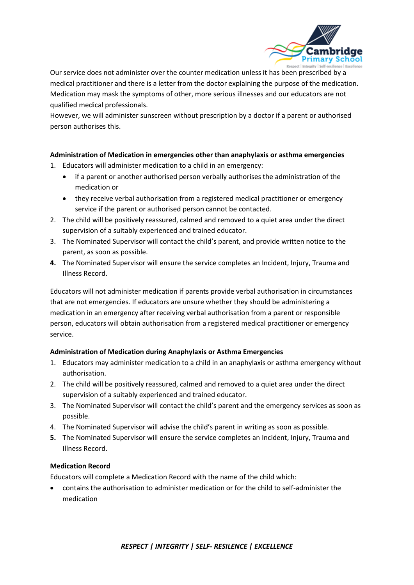

Our service does not administer over the counter medication unless it has been prescribed by a medical practitioner and there is a letter from the doctor explaining the purpose of the medication. Medication may mask the symptoms of other, more serious illnesses and our educators are not qualified medical professionals.

However, we will administer sunscreen without prescription by a doctor if a parent or authorised person authorises this.

#### **Administration of Medication in emergencies other than anaphylaxis or asthma emergencies**

- 1. Educators will administer medication to a child in an emergency:
	- if a parent or another authorised person verbally authorises the administration of the medication or
	- they receive verbal authorisation from a registered medical practitioner or emergency service if the parent or authorised person cannot be contacted.
- 2. The child will be positively reassured, calmed and removed to a quiet area under the direct supervision of a suitably experienced and trained educator.
- 3. The Nominated Supervisor will contact the child's parent, and provide written notice to the parent, as soon as possible.
- **4.** The Nominated Supervisor will ensure the service completes an Incident, Injury, Trauma and Illness Record.

Educators will not administer medication if parents provide verbal authorisation in circumstances that are not emergencies. If educators are unsure whether they should be administering a medication in an emergency after receiving verbal authorisation from a parent or responsible person, educators will obtain authorisation from a registered medical practitioner or emergency service.

#### **Administration of Medication during Anaphylaxis or Asthma Emergencies**

- 1. Educators may administer medication to a child in an anaphylaxis or asthma emergency without authorisation.
- 2. The child will be positively reassured, calmed and removed to a quiet area under the direct supervision of a suitably experienced and trained educator.
- 3. The Nominated Supervisor will contact the child's parent and the emergency services as soon as possible.
- 4. The Nominated Supervisor will advise the child's parent in writing as soon as possible.
- **5.** The Nominated Supervisor will ensure the service completes an Incident, Injury, Trauma and Illness Record.

#### **Medication Record**

Educators will complete a Medication Record with the name of the child which:

• contains the authorisation to administer medication or for the child to self-administer the medication